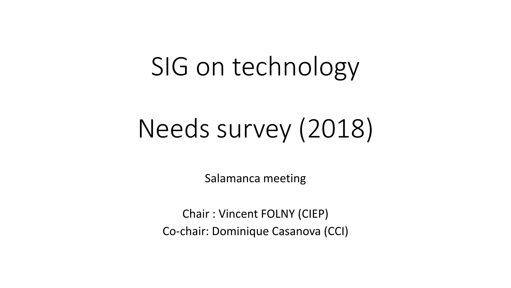## SIG on technology

# Needs survey (2018)

Salamanca meeting

Chair : Vincent FOLNY (CIEP) Co-chair: Dominique Casanova (CCI)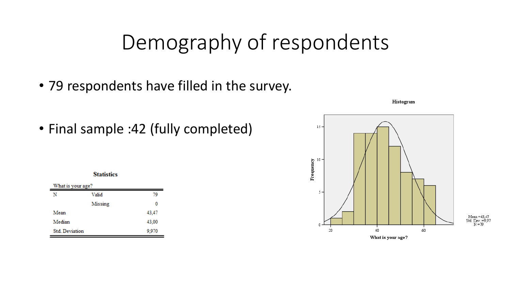### Demography of respondents

- 79 respondents have filled in the survey.
- Final sample :42 (fully completed)





Histogram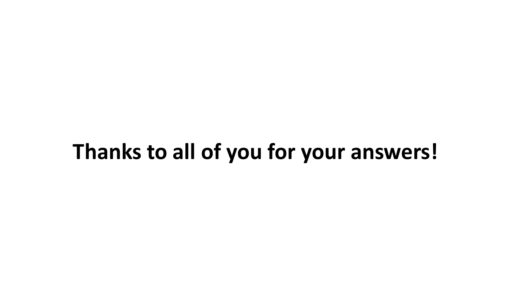### **Thanks to all of you for your answers!**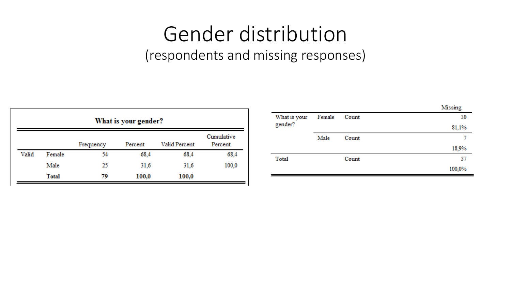#### Gender distribution (respondents and missing responses)

| What is your gender? |              |           |         |               |                       |
|----------------------|--------------|-----------|---------|---------------|-----------------------|
|                      |              | Frequency | Percent | Valid Percent | Cumulative<br>Percent |
| Valid                | Female       | 54        | 68,4    | 68,4          | 68,4                  |
|                      | Male         | 25        | 31.6    | 31,6          | 100,0                 |
|                      | <b>Total</b> | 79        | 100,0   | 100,0         |                       |

|              |        |       | Missing |
|--------------|--------|-------|---------|
| What is your | Female | Count |         |
| gender?      |        |       | 81,1%   |
|              | Male   | Count |         |
|              |        |       | 18,9%   |
| Total        |        | Count | 37      |
|              |        |       | 100,0%  |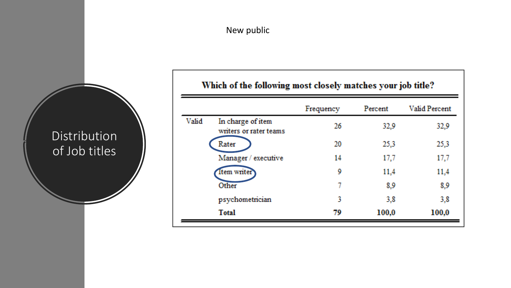#### Which of the following most closely matches your job title?

|       |                                             | Frequency | Percent | <b>Valid Percent</b> |
|-------|---------------------------------------------|-----------|---------|----------------------|
| Valid | In charge of item<br>writers or rater teams | 26        | 32.9    | 32,9                 |
|       | Rater                                       | 20        | 25,3    | 25,3                 |
|       | Manager / executive                         | 14        | 17,7    | 17,7                 |
|       | <b>Item writer</b>                          | 9         | 11,4    | 11,4                 |
|       | Other                                       | 7         | 8,9     | 8,9                  |
|       | psychometrician                             | 3         | 3,8     | 3,8                  |
|       | <b>Total</b>                                | 79        | 100,0   | 100,0                |

Distribution of Job titles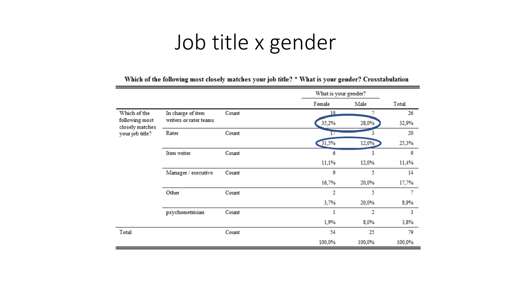### Job title x gender

|                                   |                        |       |        | What is your gender? |        |
|-----------------------------------|------------------------|-------|--------|----------------------|--------|
|                                   |                        |       | Female | Male                 | Total  |
| Which of the                      | In charge of item      | Count | 19     |                      | 26     |
| following most<br>closely matches | writers or rater teams |       | 35,2%  | 28,0%                | 32,9%  |
| your job title?                   | Rater                  | Count |        |                      | 20     |
|                                   |                        |       | 31,5%  | 12,0%                | 25,3%  |
|                                   | Item writer            | Count | 6      | 3                    | 9      |
|                                   |                        |       | 11,1%  | 12,0%                | 11,4%  |
|                                   | Manager / executive    | Count | 9      | 5                    | 14     |
|                                   |                        |       | 16,7%  | 20,0%                | 17,7%  |
|                                   | Other                  | Count | 2      | 5                    | 7      |
|                                   |                        |       | 3,7%   | 20,0%                | 8,9%   |
|                                   | psychometrician        | Count | 1      | 2                    | 3      |
|                                   |                        |       | 1,9%   | 8,0%                 | 3,8%   |
| Total                             |                        | Count | 54     | 25                   | 79     |
|                                   |                        |       | 100,0% | 100,0%               | 100,0% |

Which of the following most closely matches your job title? \* What is your gender? Crosstabulation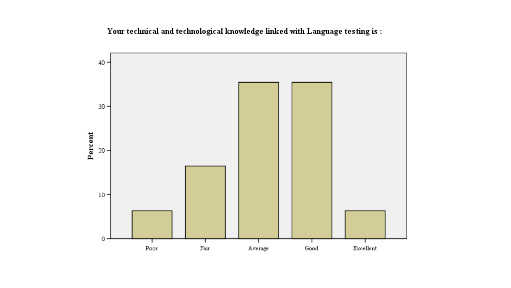Your technical and technological knowledge linked with Language testing is:

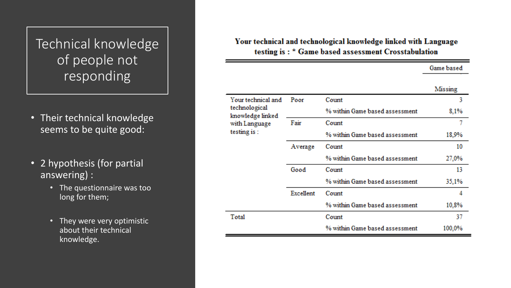#### Technical knowledge of people not responding

- Their technical knowledge seems to be quite good:
- 2 hypothesis (for partial answering) :
	- The questionnaire was too long for them;
	- They were very optimistic about their technical knowledge.

#### Your technical and technological knowledge linked with Language testing is: \* Game based assessment Crosstabulation

#### Game based

|                                   |           |                                | Missing |
|-----------------------------------|-----------|--------------------------------|---------|
| Your technical and                | Poor      | Count                          | 3       |
| technological<br>knowledge linked |           | % within Game based assessment | 8,1%    |
| with Language                     | Fair      | Count                          | 7       |
| testing is:                       |           | % within Game based assessment | 18,9%   |
|                                   | Average   | Count                          | 10      |
|                                   |           | % within Game based assessment | 27,0%   |
|                                   | Good      | Count                          | 13      |
|                                   |           | % within Game based assessment | 35,1%   |
|                                   | Excellent | Count                          | 4       |
|                                   |           | % within Game based assessment | 10,8%   |
| Total                             |           | Count                          | 37      |
|                                   |           | % within Game based assessment | 100,0%  |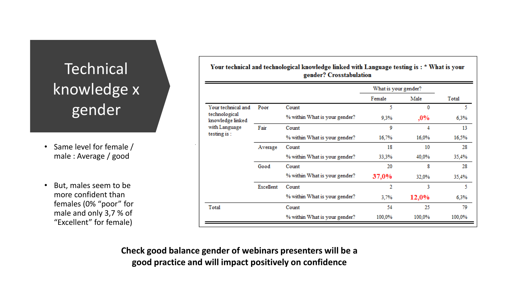#### **Technical** knowledge x gender

- Same level for female / male : Average / good
- But, males seem to be more confident than females (0% "poor" for male and only 3,7 % of "Excellent" for female)

|                                   |           |                               | What is your gender? |        |        |
|-----------------------------------|-----------|-------------------------------|----------------------|--------|--------|
|                                   |           |                               | Female               | Male   | Total  |
| Your technical and                | Poor      | Count                         | 5                    | 0      | 5.     |
| technological<br>knowledge linked |           | % within What is your gender? | 9,3%                 | ,0%    | 6,3%   |
| with Language                     | Fair      | Count                         | 9                    | 4      | 13     |
| testing is:                       |           | % within What is your gender? | 16,7%                | 16,0%  | 16,5%  |
|                                   | Average   | Count                         | 18                   | 10     | 28     |
|                                   |           | % within What is your gender? | 33,3%                | 40,0%  | 35,4%  |
|                                   | Good      | Count                         | 20                   | 8      | 28     |
|                                   |           | % within What is your gender? | 37,0%                | 32,0%  | 35,4%  |
|                                   | Excellent | Count                         | 2                    | 3      | 5.     |
|                                   |           | % within What is your gender? | 3,7%                 | 12,0%  | 6,3%   |
| Total                             |           | Count                         | 54                   | 25     | 79     |
|                                   |           | % within What is your gender? | 100,0%               | 100,0% | 100,0% |

Your technical and technological knowledge linked with Language testing is: \* What is your

**Check good balance gender of webinars presenters will be a good practice and will impact positively on confidence**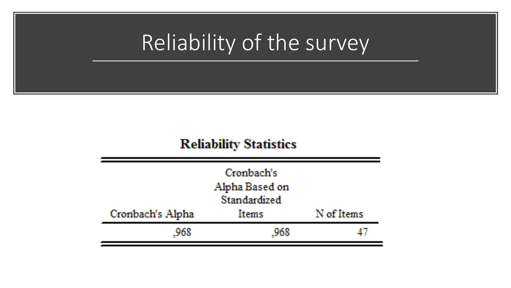## Reliability of the survey

#### **Reliability Statistics**

| Cronbach's<br>Alpha Based on<br>Standardized |              |            |  |  |
|----------------------------------------------|--------------|------------|--|--|
| Cronbach's Alpha                             | <b>Items</b> | N of Items |  |  |
| -968                                         | .968         |            |  |  |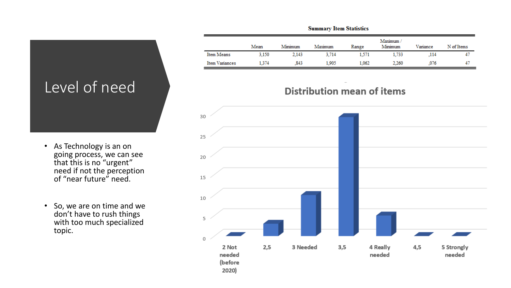#### Level of need

- As Technology is an on going process, we can see that this is no "urgent" need if not the perception of "near future" need.
- So, we are on time and we don't have to rush things with too much specialized topic.

|                | Mean  | Minimum | Maximum | Range | Maximum/<br>Minimum | Variance | N of Items |
|----------------|-------|---------|---------|-------|---------------------|----------|------------|
| Item Means     | 3,150 | 2,143   | 3.714   | 1,571 | 1.733               | .114     | 47         |
| Item Variances | 1.374 | .843    | 1.905   | 1.062 | 2.260               | .076     | 47         |

**Summary Item Statistics** 

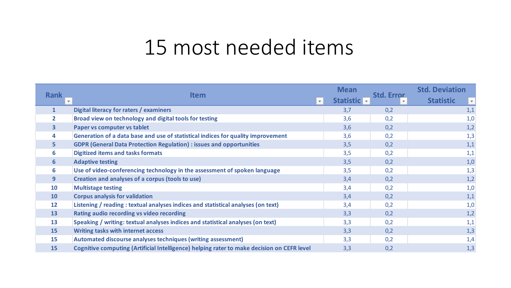### 15 most needed items

|                                        |                                                                                            | <b>Mean</b>  |                   | <b>Std. Deviation</b>                       |
|----------------------------------------|--------------------------------------------------------------------------------------------|--------------|-------------------|---------------------------------------------|
| <b>Rank</b><br>$\overline{\mathbf{v}}$ | <b>Item</b><br>$\overline{\mathbf{v}}$ .                                                   | Statistic  - | <b>Std. Error</b> | <b>Statistic</b><br>$\overline{\mathbf{v}}$ |
| $\mathbf{1}$                           | Digital literacy for raters / examiners                                                    | 3,7          | 0,2               | 1,1                                         |
| $\mathbf{2}$                           | Broad view on technology and digital tools for testing                                     | 3,6          | 0,2               | 1,0                                         |
| $\overline{\mathbf{3}}$                | Paper vs computer vs tablet                                                                | 3,6          | 0,2               | 1,2                                         |
| 4                                      | Generation of a data base and use of statistical indices for quality improvement           | 3,6          | 0,2               | 1,3                                         |
| 5.                                     | <b>GDPR (General Data Protection Regulation) : issues and opportunities</b>                | 3,5          | 0,2               | 1,1                                         |
| 6                                      | <b>Digitized items and tasks formats</b>                                                   | 3,5          | 0,2               | 1,1                                         |
| $6 \overline{6}$                       | <b>Adaptive testing</b>                                                                    | 3,5          | 0,2               | 1,0                                         |
| 6                                      | Use of video-conferencing technology in the assessment of spoken language                  | 3,5          | 0,2               | 1,3                                         |
| 9                                      | Creation and analyses of a corpus (tools to use)                                           | 3,4          | 0,2               | 1,2                                         |
| <b>10</b>                              | <b>Multistage testing</b>                                                                  | 3,4          | 0,2               | 1,0                                         |
| <b>10</b>                              | <b>Corpus analysis for validation</b>                                                      | 3,4          | 0,2               | 1,1                                         |
| $12 \overline{ }$                      | Listening / reading : textual analyses indices and statistical analyses (on text)          | 3,4          | 0,2               | 1,0                                         |
| 13                                     | Rating audio recording vs video recording                                                  | 3,3          | 0,2               | 1,2                                         |
| 13                                     | Speaking / writing: textual analyses indices and statistical analyses (on text)            | 3,3          | 0,2               | 1,1                                         |
| 15                                     | <b>Writing tasks with internet access</b>                                                  | 3,3          | 0,2               | 1,3                                         |
| 15                                     | Automated discourse analyses techniques (writing assessment)                               | 3,3          | 0,2               | 1,4                                         |
| 15                                     | Cognitive computing (Artificial Intelligence) helping rater to make decision on CEFR level | 3,3          | 0,2               | 1,3                                         |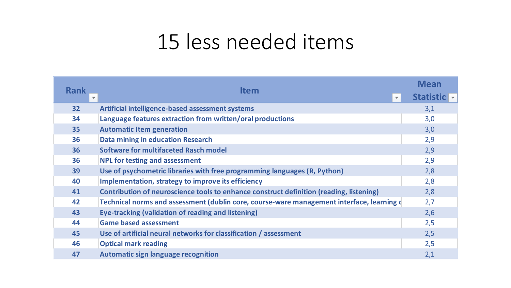### 15 less needed items

|             |                                                                                           | <b>Mean</b> |
|-------------|-------------------------------------------------------------------------------------------|-------------|
| <b>Rank</b> | <b>Item</b><br>IV.                                                                        | Statistic - |
| 32          | Artificial intelligence-based assessment systems                                          | 3,1         |
| 34          | Language features extraction from written/oral productions                                | 3,0         |
| 35          | <b>Automatic Item generation</b>                                                          | 3,0         |
| 36          | Data mining in education Research                                                         | 2,9         |
| 36          | <b>Software for multifaceted Rasch model</b>                                              | 2,9         |
| 36          | NPL for testing and assessment                                                            | 2,9         |
| 39          | Use of psychometric libraries with free programming languages (R, Python)                 | 2,8         |
| 40          | Implementation, strategy to improve its efficiency                                        | 2,8         |
| 41          | Contribution of neuroscience tools to enhance construct definition (reading, listening)   | 2,8         |
| 42          | Technical norms and assessment (dublin core, course-ware management interface, learning d | 2,7         |
| 43          | Eye-tracking (validation of reading and listening)                                        | 2,6         |
| 44          | <b>Game based assessment</b>                                                              | 2,5         |
| 45          | Use of artificial neural networks for classification / assessment                         | 2,5         |
| 46          | <b>Optical mark reading</b>                                                               | 2,5         |
| 47          | <b>Automatic sign language recognition</b>                                                | 2,1         |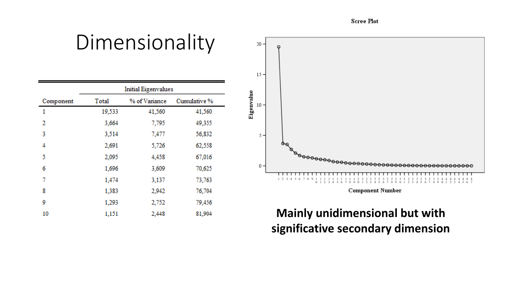**Scree Plot** 

#### Dimensionality

|           | <b>Initial Eigenvalues</b> |               |              |  |  |
|-----------|----------------------------|---------------|--------------|--|--|
| Component | Total                      | % of Variance | Cumulative % |  |  |
| 1         | 19,533                     | 41,560        | 41,560       |  |  |
| 2         | 3,664                      | 7,795         | 49,355       |  |  |
| 3         | 3,514                      | 7,477         | 56,832       |  |  |
| 4         | 2,691                      | 5,726         | 62,558       |  |  |
| 5         | 2,095                      | 4,458         | 67,016       |  |  |
| 6         | 1,696                      | 3,609         | 70,625       |  |  |
| 7         | 1,474                      | 3,137         | 73,763       |  |  |
| 8         | 1,383                      | 2,942         | 76,704       |  |  |
| 9         | 1,293                      | 2,752         | 79,456       |  |  |
| 10        | 1,151                      | 2,448         | 81,904       |  |  |



#### **Mainly unidimensional but with significative secondary dimension**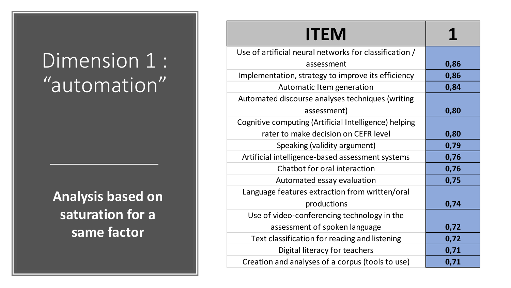## Dimension 1 : "automation"

**Analysis based on saturation for a same factor**

| <b>ITEM</b>                                            |      |
|--------------------------------------------------------|------|
| Use of artificial neural networks for classification / |      |
| assessment                                             | 0,86 |
| Implementation, strategy to improve its efficiency     | 0,86 |
| Automatic Item generation                              | 0,84 |
| Automated discourse analyses techniques (writing       |      |
| assessment)                                            | 0,80 |
| Cognitive computing (Artificial Intelligence) helping  |      |
| rater to make decision on CEFR level                   | 0,80 |
| Speaking (validity argument)                           | 0,79 |
| Artificial intelligence-based assessment systems       | 0,76 |
| Chatbot for oral interaction                           | 0,76 |
| Automated essay evaluation                             | 0,75 |
| Language features extraction from written/oral         |      |
| productions                                            | 0,74 |
| Use of video-conferencing technology in the            |      |
| assessment of spoken language                          | 0,72 |
| Text classification for reading and listening          | 0,72 |
| Digital literacy for teachers                          | 0,71 |
| Creation and analyses of a corpus (tools to use)       | 0,71 |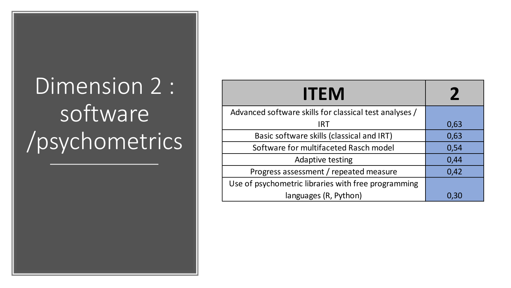# Dimension 2 : software /psychometrics

| <b>ITEM</b>                                            |      |
|--------------------------------------------------------|------|
| Advanced software skills for classical test analyses / |      |
| <b>IRT</b>                                             | 0,63 |
| Basic software skills (classical and IRT)              | 0,63 |
| Software for multifaceted Rasch model                  | 0,54 |
| Adaptive testing                                       | 0,44 |
| Progress assessment / repeated measure                 | 0,42 |
| Use of psychometric libraries with free programming    |      |
| languages (R, Python)                                  | 0,30 |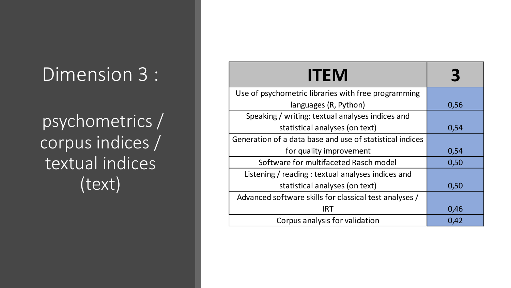#### Dimension 3 :

psychometrics / corpus indices / textual indices (text)

| <b>ITEM</b>                                              |      |
|----------------------------------------------------------|------|
| Use of psychometric libraries with free programming      |      |
| languages (R, Python)                                    | 0,56 |
| Speaking / writing: textual analyses indices and         |      |
| statistical analyses (on text)                           | 0,54 |
| Generation of a data base and use of statistical indices |      |
| for quality improvement                                  | 0,54 |
| Software for multifaceted Rasch model                    | 0,50 |
| Listening / reading : textual analyses indices and       |      |
| statistical analyses (on text)                           | 0,50 |
| Advanced software skills for classical test analyses /   |      |
| IRT                                                      | 0,46 |
| Corpus analysis for validation                           | 0,42 |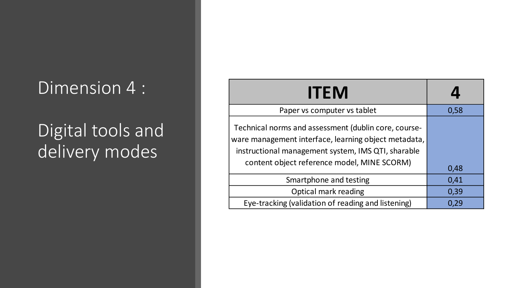#### Dimension 4 :

#### Digital tools and delivery modes

| <b>ITEM</b>                                                                                                                                                                                                       |      |
|-------------------------------------------------------------------------------------------------------------------------------------------------------------------------------------------------------------------|------|
| Paper vs computer vs tablet                                                                                                                                                                                       | 0,58 |
| Technical norms and assessment (dublin core, course-<br>ware management interface, learning object metadata,<br>instructional management system, IMS QTI, sharable<br>content object reference model, MINE SCORM) | 0,48 |
| Smartphone and testing                                                                                                                                                                                            | 0,41 |
| Optical mark reading                                                                                                                                                                                              | 0,39 |
| Eye-tracking (validation of reading and listening)                                                                                                                                                                | 0,29 |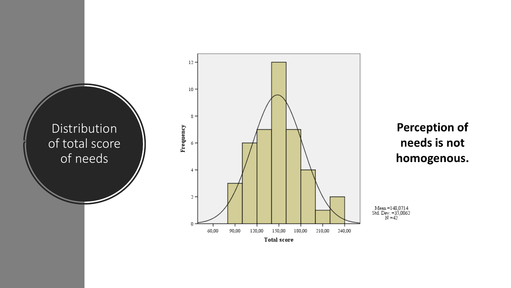

#### **Perception of** needs is not homogenous.

Mean =148,0714<br>Std. Dev. =35,0062<br>N =42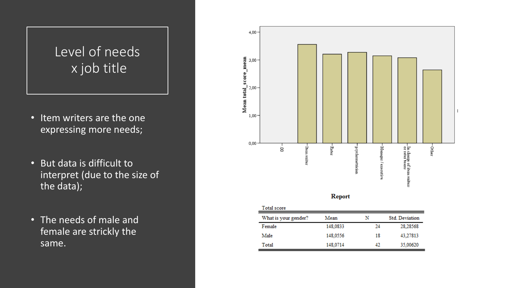#### Level of needs x job title

- Item writers are the one expressing more needs;
- But data is difficult to interpret (due to the size of the data);
- The needs of male and female are strickly the same.



| What is your gender? | Mean     | N  | Std. Deviation |
|----------------------|----------|----|----------------|
| Female               | 148,0833 | 24 | 28.28568       |
| Male                 | 148,0556 | 18 | 43.27813       |
| Total                | 148,0714 | 42 | 35,00620       |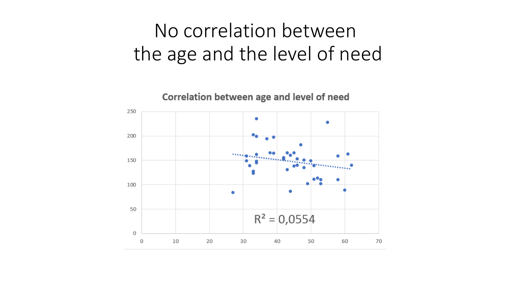#### No correlation between the age and the level of need

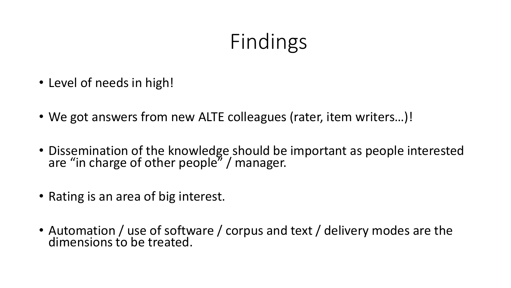## Findings

- Level of needs in high!
- We got answers from new ALTE colleagues (rater, item writers…)!
- Dissemination of the knowledge should be important as people interested are "in charge of other people" / manager.
- Rating is an area of big interest.
- Automation / use of software / corpus and text / delivery modes are the dimensions to be treated.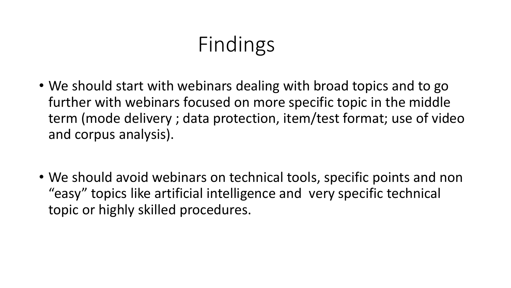## Findings

- We should start with webinars dealing with broad topics and to go further with webinars focused on more specific topic in the middle term (mode delivery ; data protection, item/test format; use of video and corpus analysis).
- We should avoid webinars on technical tools, specific points and non "easy" topics like artificial intelligence and very specific technical topic or highly skilled procedures.